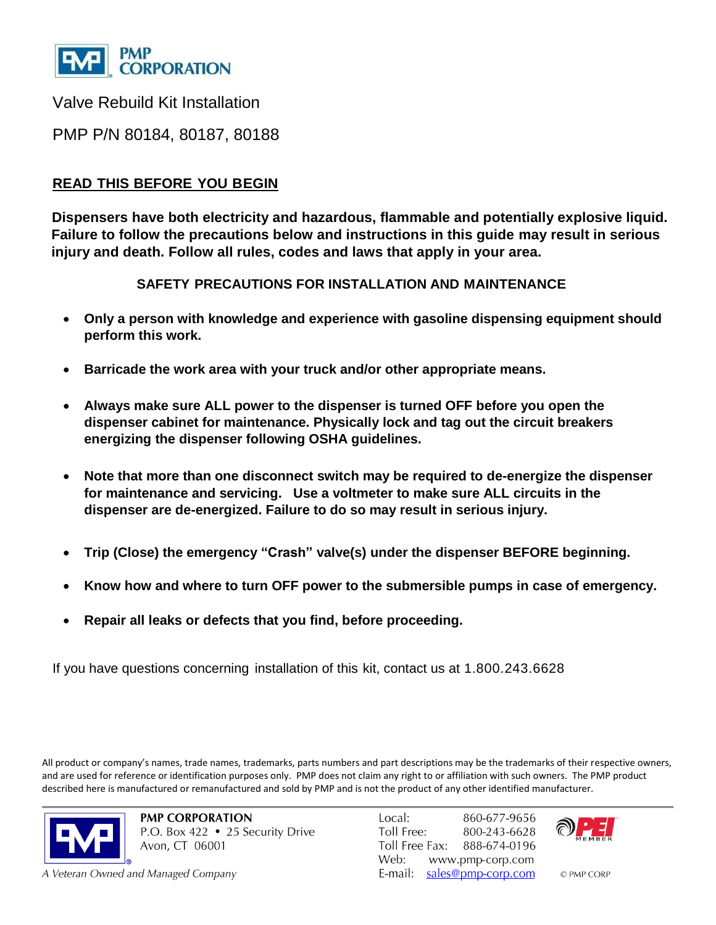

Valve Rebuild Kit Installation

PMP P/N 80184, 80187, 80188

# **READ THIS BEFORE YOU BEGIN**

**Dispensers have both electricity and hazardous, flammable and potentially explosive liquid. Failure to follow the precautions below and instructions in this guide may result in serious injury and death. Follow all rules, codes and laws that apply in your area.**

### **SAFETY PRECAUTIONS FOR INSTALLATION AND MAINTENANCE**

- **Only a person with knowledge and experience with gasoline dispensing equipment should perform this work.**
- **Barricade the work area with your truck and/or other appropriate means.**
- **Always make sure ALL power to the dispenser is turned OFF before you open the dispenser cabinet for maintenance. Physically lock and tag out the circuit breakers energizing the dispenser following OSHA guidelines.**
- **Note that more than one disconnect switch may be required to de-energize the dispenser for maintenance and servicing. Use a voltmeter to make sure ALL circuits in the dispenser are de-energized. Failure to do so may result in serious injury.**
- **Trip (Close) the emergency "Crash" valve(s) under the dispenser BEFORE beginning.**
- **Know how and where to turn OFF power to the submersible pumps in case of emergency.**
- **Repair all leaks or defects that you find, before proceeding.**

If you have questions concerning installation of this kit, contact us at 1.800.243.6628

All product or company's names, trade names, trademarks, parts numbers and part descriptions may be the trademarks of their respective owners, and are used for reference or identification purposes only. PMP does not claim any right to or affiliation with such owners. The PMP product described here is manufactured or remanufactured and sold by PMP and is not the product of any other identified manufacturer.



**PMP CORPORATION** P.O. Box 422 • 25 Security Drive Avon, CT 06001

A Veteran Owned and Managed Company

Local: 860-677-9656 Toll Free: 800-243-6628 Toll Free Fax: 888-674-0196 Web: www.pmp-corp.com E-mail: sales@pmp-corp.com



© PMP CORP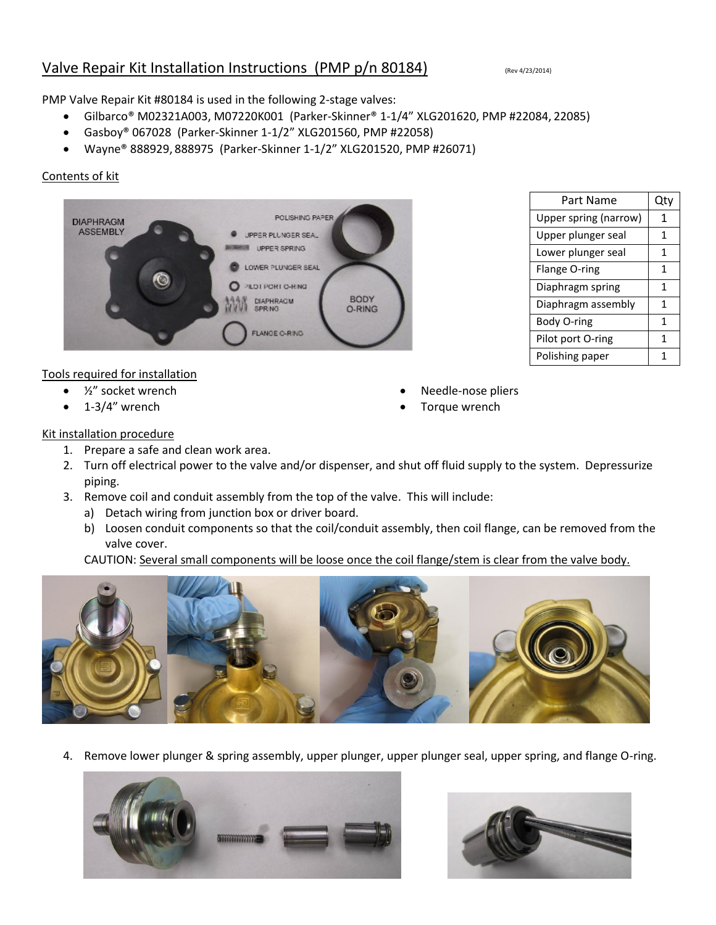## Valve Repair Kit Installation Instructions (PMP p/n 80184) (Rev 4/23/2014)

 $\Gamma$ 

 Needle-nose pliers Torque wrench

PMP Valve Repair Kit #80184 is used in the following 2-stage valves:

- Gilbarco® M02321A003, M07220K001 (Parker-Skinner® 1-1/4" XLG201620, PMP #22084, 22085)
- Gasboy® 067028 (Parker-Skinner 1-1/2" XLG201560, PMP #22058)
- Wayne® 888929, 888975 (Parker-Skinner 1-1/2" XLG201520, PMP #26071)

#### Contents of kit



| Part Name             | Qty |
|-----------------------|-----|
| Upper spring (narrow) | 1   |
| Upper plunger seal    | 1   |
| Lower plunger seal    | 1   |
| Flange O-ring         | 1   |
| Diaphragm spring      | 1   |
| Diaphragm assembly    | 1   |
| Body O-ring           | 1   |
| Pilot port O-ring     | 1   |
| Polishing paper       |     |

#### Tools required for installation

- ½" socket wrench
- $\bullet$  1-3/4" wrench

#### Kit installation procedure

- 1. Prepare a safe and clean work area.
- 2. Turn off electrical power to the valve and/or dispenser, and shut off fluid supply to the system. Depressurize piping.
- 3. Remove coil and conduit assembly from the top of the valve. This will include:
	- a) Detach wiring from junction box or driver board.
	- b) Loosen conduit components so that the coil/conduit assembly, then coil flange, can be removed from the valve cover.

CAUTION: Several small components will be loose once the coil flange/stem is clear from the valve body.



4. Remove lower plunger & spring assembly, upper plunger, upper plunger seal, upper spring, and flange O-ring.